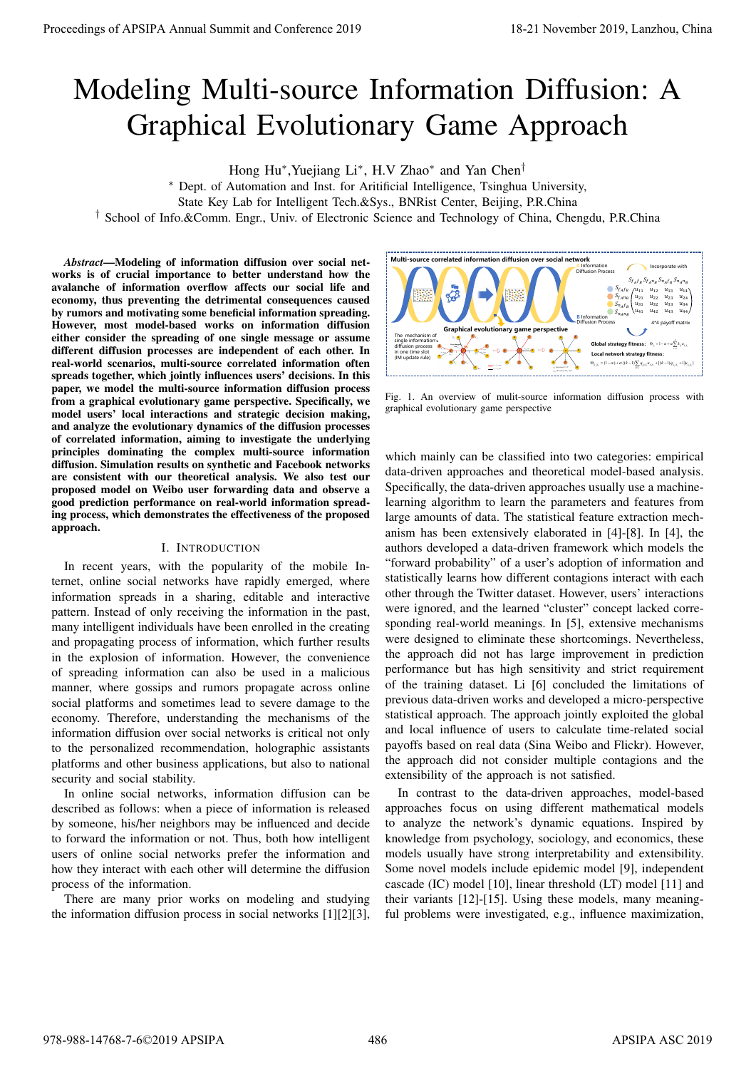# Modeling Multi-source Information Diffusion: A Graphical Evolutionary Game Approach

Hong Hu∗,Yuejiang Li∗, H.V Zhao∗ and Yan Chen†

∗ Dept. of Automation and Inst. for Aritificial Intelligence, Tsinghua University,

State Key Lab for Intelligent Tech.&Sys., BNRist Center, Beijing, P.R.China

† School of Info.&Comm. Engr., Univ. of Electronic Science and Technology of China, Chengdu, P.R.China

*Abstract*—Modeling of information diffusion over social networks is of crucial importance to better understand how the avalanche of information overflow affects our social life and economy, thus preventing the detrimental consequences caused by rumors and motivating some beneficial information spreading. However, most model-based works on information diffusion either consider the spreading of one single message or assume different diffusion processes are independent of each other. In real-world scenarios, multi-source correlated information often spreads together, which jointly influences users' decisions. In this paper, we model the multi-source information diffusion process from a graphical evolutionary game perspective. Specifically, we model users' local interactions and strategic decision making, and analyze the evolutionary dynamics of the diffusion processes of correlated information, aiming to investigate the underlying principles dominating the complex multi-source information diffusion. Simulation results on synthetic and Facebook networks are consistent with our theoretical analysis. We also test our proposed model on Weibo user forwarding data and observe a good prediction performance on real-world information spreading process, which demonstrates the effectiveness of the proposed approach.

# I. INTRODUCTION

In recent years, with the popularity of the mobile Internet, online social networks have rapidly emerged, where information spreads in a sharing, editable and interactive pattern. Instead of only receiving the information in the past, many intelligent individuals have been enrolled in the creating and propagating process of information, which further results in the explosion of information. However, the convenience of spreading information can also be used in a malicious manner, where gossips and rumors propagate across online social platforms and sometimes lead to severe damage to the economy. Therefore, understanding the mechanisms of the information diffusion over social networks is critical not only to the personalized recommendation, holographic assistants platforms and other business applications, but also to national security and social stability.

In online social networks, information diffusion can be described as follows: when a piece of information is released by someone, his/her neighbors may be influenced and decide to forward the information or not. Thus, both how intelligent users of online social networks prefer the information and how they interact with each other will determine the diffusion process of the information.

There are many prior works on modeling and studying the information diffusion process in social networks [1][2][3],



Fig. 1. An overview of mulit-source information diffusion process with graphical evolutionary game perspective

which mainly can be classified into two categories: empirical data-driven approaches and theoretical model-based analysis. Specifically, the data-driven approaches usually use a machinelearning algorithm to learn the parameters and features from large amounts of data. The statistical feature extraction mechanism has been extensively elaborated in [4]-[8]. In [4], the authors developed a data-driven framework which models the "forward probability" of a user's adoption of information and statistically learns how different contagions interact with each other through the Twitter dataset. However, users' interactions were ignored, and the learned "cluster" concept lacked corresponding real-world meanings. In [5], extensive mechanisms were designed to eliminate these shortcomings. Nevertheless, the approach did not has large improvement in prediction performance but has high sensitivity and strict requirement of the training dataset. Li [6] concluded the limitations of previous data-driven works and developed a micro-perspective statistical approach. The approach jointly exploited the global and local influence of users to calculate time-related social payoffs based on real data (Sina Weibo and Flickr). However, the approach did not consider multiple contagions and the extensibility of the approach is not satisfied. Proceeding of APSIPA Annual Summit at Co-ference 2019<br>
Modelling Multi-Source 2019<br>
Complete 2019 18-21 November 2019 18-21 November 2019 18-21 November 2019 18-22 November 2019 18-22 November 2019 18-22 November 2019 18-

In contrast to the data-driven approaches, model-based approaches focus on using different mathematical models to analyze the network's dynamic equations. Inspired by knowledge from psychology, sociology, and economics, these models usually have strong interpretability and extensibility. Some novel models include epidemic model [9], independent cascade (IC) model [10], linear threshold (LT) model [11] and their variants [12]-[15]. Using these models, many meaningful problems were investigated, e.g., influence maximization,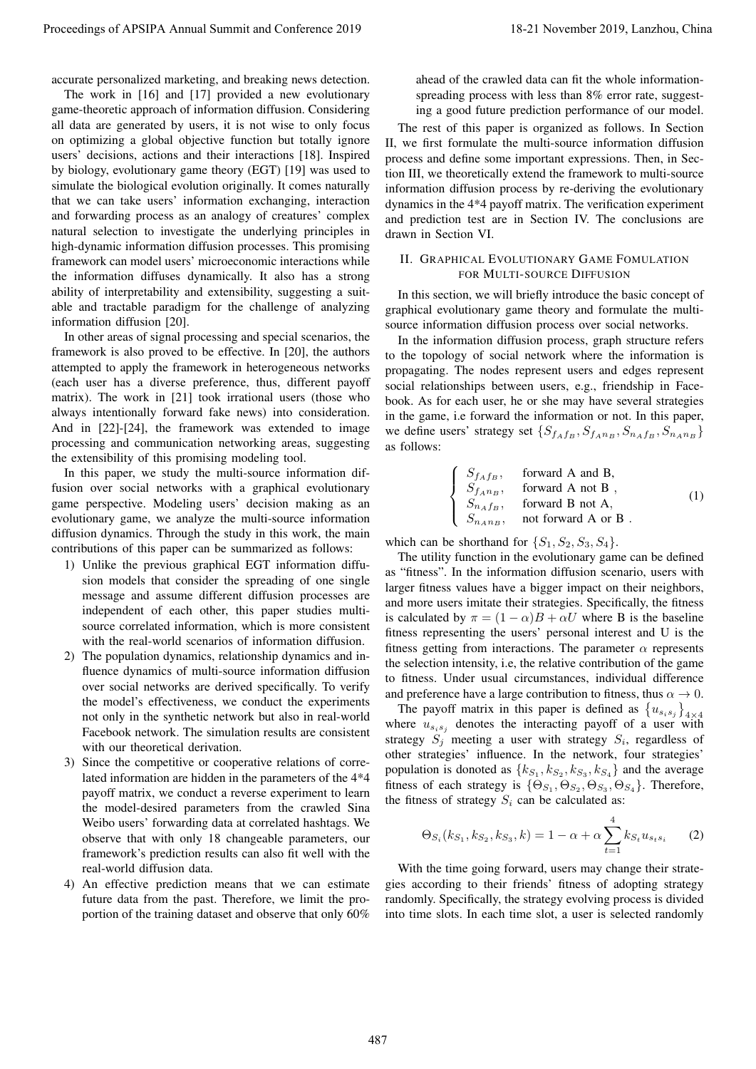accurate personalized marketing, and breaking news detection.

The work in [16] and [17] provided a new evolutionary game-theoretic approach of information diffusion. Considering all data are generated by users, it is not wise to only focus on optimizing a global objective function but totally ignore users' decisions, actions and their interactions [18]. Inspired by biology, evolutionary game theory (EGT) [19] was used to simulate the biological evolution originally. It comes naturally that we can take users' information exchanging, interaction and forwarding process as an analogy of creatures' complex natural selection to investigate the underlying principles in high-dynamic information diffusion processes. This promising framework can model users' microeconomic interactions while the information diffuses dynamically. It also has a strong ability of interpretability and extensibility, suggesting a suitable and tractable paradigm for the challenge of analyzing information diffusion [20]. Proceeding of APSIPA Annual Summit is City for each 1911.<br>
The set of 1913 and 1913 and 2018 and 2018 and 2018 and 2018 and 2018 and 2018 and 2018 and 2018 and 2018 and 2018 and 2018 and 2018 and 2018 and 2018 and 2018 an

In other areas of signal processing and special scenarios, the framework is also proved to be effective. In [20], the authors attempted to apply the framework in heterogeneous networks (each user has a diverse preference, thus, different payoff matrix). The work in [21] took irrational users (those who always intentionally forward fake news) into consideration. And in [22]-[24], the framework was extended to image processing and communication networking areas, suggesting the extensibility of this promising modeling tool.

In this paper, we study the multi-source information diffusion over social networks with a graphical evolutionary game perspective. Modeling users' decision making as an evolutionary game, we analyze the multi-source information diffusion dynamics. Through the study in this work, the main contributions of this paper can be summarized as follows:

- 1) Unlike the previous graphical EGT information diffusion models that consider the spreading of one single message and assume different diffusion processes are independent of each other, this paper studies multisource correlated information, which is more consistent with the real-world scenarios of information diffusion.
- 2) The population dynamics, relationship dynamics and influence dynamics of multi-source information diffusion over social networks are derived specifically. To verify the model's effectiveness, we conduct the experiments not only in the synthetic network but also in real-world Facebook network. The simulation results are consistent with our theoretical derivation.
- 3) Since the competitive or cooperative relations of correlated information are hidden in the parameters of the 4\*4 payoff matrix, we conduct a reverse experiment to learn the model-desired parameters from the crawled Sina Weibo users' forwarding data at correlated hashtags. We observe that with only 18 changeable parameters, our framework's prediction results can also fit well with the real-world diffusion data.
- 4) An effective prediction means that we can estimate future data from the past. Therefore, we limit the proportion of the training dataset and observe that only 60%

ahead of the crawled data can fit the whole informationspreading process with less than 8% error rate, suggesting a good future prediction performance of our model.

The rest of this paper is organized as follows. In Section II, we first formulate the multi-source information diffusion process and define some important expressions. Then, in Section III, we theoretically extend the framework to multi-source information diffusion process by re-deriving the evolutionary dynamics in the 4\*4 payoff matrix. The verification experiment and prediction test are in Section IV. The conclusions are drawn in Section VI.

# II. GRAPHICAL EVOLUTIONARY GAME FOMULATION FOR MULTI-SOURCE DIFFUSION

In this section, we will briefly introduce the basic concept of graphical evolutionary game theory and formulate the multisource information diffusion process over social networks.

In the information diffusion process, graph structure refers to the topology of social network where the information is propagating. The nodes represent users and edges represent social relationships between users, e.g., friendship in Facebook. As for each user, he or she may have several strategies in the game, i.e forward the information or not. In this paper, we define users' strategy set  $\{S_{f_Af_B}, S_{f_An_B}, S_{n_Af_B}, S_{n_An_B}\}$ as follows:

$$
\begin{cases}\nS_{f_A f_B}, & \text{forward A and B,} \\
S_{f_A n_B}, & \text{forward A not B,} \\
S_{n_A f_B}, & \text{forward B not A,} \\
S_{n_A n_B}, & \text{not forward A or B.}\n\end{cases}
$$
\n(1)

which can be shorthand for  $\{S_1, S_2, S_3, S_4\}$ .

The utility function in the evolutionary game can be defined as "fitness". In the information diffusion scenario, users with larger fitness values have a bigger impact on their neighbors, and more users imitate their strategies. Specifically, the fitness is calculated by  $\pi = (1 - \alpha)B + \alpha U$  where B is the baseline fitness representing the users' personal interest and U is the fitness getting from interactions. The parameter  $\alpha$  represents the selection intensity, i.e, the relative contribution of the game to fitness. Under usual circumstances, individual difference and preference have a large contribution to fitness, thus  $\alpha \to 0$ .

The payoff matrix in this paper is defined as  $\{u_{s_i s_j}\}$ where  $u_{s_i s_j}$  denotes the interacting payoff of a user with<br>strategy  $S_i$ , meeting a user with strategy  $S_i$ , regardless of strategy  $S_j$  meeting a user with strategy  $S_i$ , regardless of other strategies' influence. In the network, four strategies' population is donoted as  ${k_{S_1}, k_{S_2}, k_{S_3}, k_{S_4}}$  and the average fitness of each strategy is  $\{\Theta_{S_1}, \Theta_{S_2}, \Theta_{S_3}, \Theta_{S_4}\}\$ . Therefore, the fitness of strategy  $S_i$  can be calculated as:

$$
\Theta_{S_i}(k_{S_1}, k_{S_2}, k_{S_3}, k) = 1 - \alpha + \alpha \sum_{t=1}^4 k_{S_t} u_{s_ts_i} \tag{2}
$$

With the time going forward, users may change their strategies according to their friends' fitness of adopting strategy randomly. Specifically, the strategy evolving process is divided into time slots. In each time slot, a user is selected randomly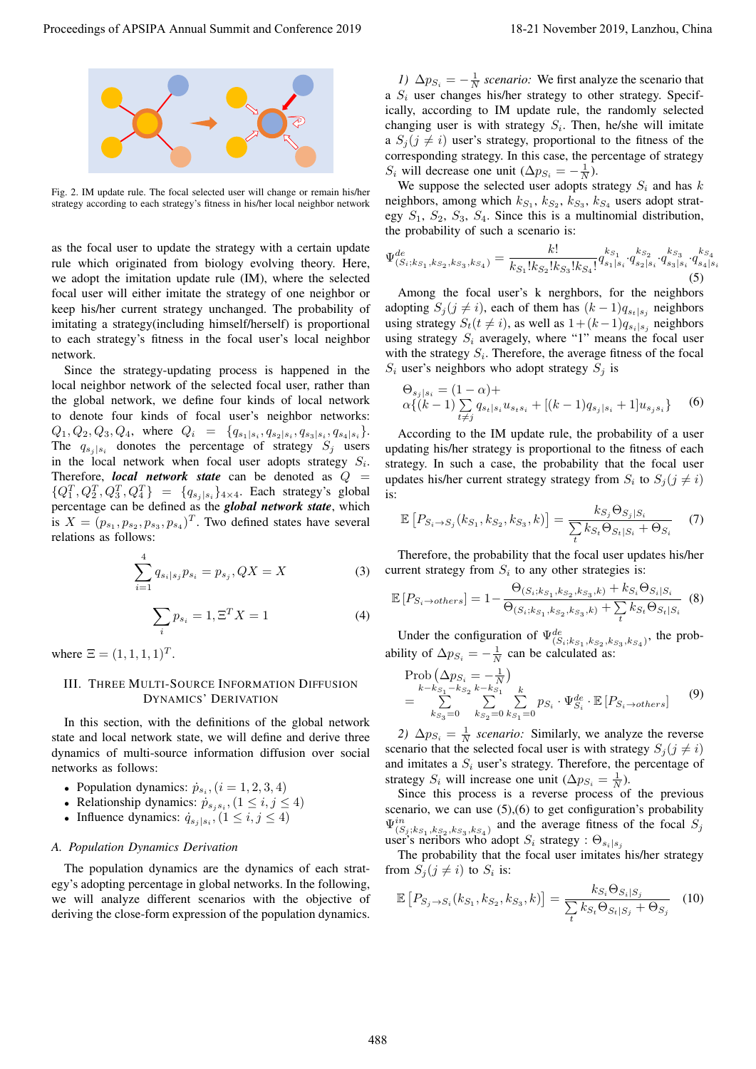

Fig. 2. IM update rule. The focal selected user will change or remain his/her strategy according to each strategy's fitness in his/her local neighbor network

as the focal user to update the strategy with a certain update rule which originated from biology evolving theory. Here, we adopt the imitation update rule (IM), where the selected focal user will either imitate the strategy of one neighbor or keep his/her current strategy unchanged. The probability of imitating a strategy(including himself/herself) is proportional to each strategy's fitness in the focal user's local neighbor network.

Since the strategy-updating process is happened in the local neighbor network of the selected focal user, rather than the global network, we define four kinds of local network to denote four kinds of focal user's neighbor networks:  $Q_1, Q_2, Q_3, Q_4$ , where  $Q_i = \{q_{s_1|s_i}, q_{s_2|s_i}, q_{s_3|s_i}, q_{s_4|s_i}\}.$ The  $q_{s_j | s_i}$  donotes the percentage of strategy  $S_j$  users in the local network when focal user adopts strategy  $S_i$ . Therefore, *local network state* can be denoted as  $Q =$  ${Q_1^T, Q_2^T, Q_3^T, Q_4^T} = {q_{s_j|s_i}}_{A \times A}$ . Each strategy's global percentage can be defined as the **global network** state which percentage can be defined as the *global network state*, which is  $X = (p_{s_1}, p_{s_2}, p_{s_3}, p_{s_4})^T$ . Two defined states have several relations as follows: Proceeding of APSIPA Annual Summit and Conference 2019<br>
Proceedings of APSIPA Annual Summit and Conference 2019<br>
Proceedings of APSIPA Annual Summit and Conference 2019<br>
Proceedings of APSIPA Annual Summit and Conference

$$
\sum_{i=1}^{4} q_{s_i|s_j} p_{s_i} = p_{s_j}, QX = X \tag{3}
$$

$$
\sum_{i} p_{s_i} = 1, \Xi^T X = 1 \tag{4}
$$

where  $\Xi = (1, 1, 1, 1)^T$ .

# III. THREE MULTI-SOURCE INFORMATION DIFFUSION DYNAMICS' DERIVATION

In this section, with the definitions of the global network state and local network state, we will define and derive three dynamics of multi-source information diffusion over social networks as follows:

- Population dynamics:  $\dot{p}_{s_i}$ ,  $(i = 1, 2, 3, 4)$
- Relationship dynamics:  $\dot{p}_{s_j s_i}$ ,  $(1 \le i, j \le 4)$ <br>• Influence dynamics:  $\dot{q}_{s+1}$ ,  $(1 \le i, j \le 4)$
- Influence dynamics:  $\dot{q}_{s_i | s_i}$ ,  $(1 \leq i, j \leq 4)$

### *A. Population Dynamics Derivation*

The population dynamics are the dynamics of each strategy's adopting percentage in global networks. In the following, we will analyze different scenarios with the objective of deriving the close-form expression of the population dynamics.

*1)*  $\Delta p_{S_i} = -\frac{1}{N}$  *scenario:* We first analyze the scenario that S<sub>1</sub> user changes his/her strategy to other strategy. Specify a  $S_i$  user changes his/her strategy to other strategy. Specifically, according to IM update rule, the randomly selected changing user is with strategy  $S_i$ . Then, he/she will imitate a  $S_i$  ( $j \neq i$ ) user's strategy, proportional to the fitness of the corresponding strategy. In this case, the percentage of strategy  $S_i$  will decrease one unit  $(\Delta p_{S_i} = -\frac{1}{N})$ .<br>We suppose the selected user adopts s

We suppose the selected user adopts strategy  $S_i$  and has k neighbors, among which  $k_{S_1}$ ,  $k_{S_2}$ ,  $k_{S_3}$ ,  $k_{S_4}$  users adopt strategy  $S_1$ ,  $S_2$ ,  $S_3$ ,  $S_4$ . Since this is a multinomial distribution, the probability of such a scenario is:

$$
\Psi_{(S_i;k_{S_1},k_{S_2},k_{S_3},k_{S_4})}^{de} = \frac{k!}{k_{S_1}!k_{S_2}!k_{S_3}!k_{S_4}!} q_{s_1|s_i}^{k_{S_1}} \cdot q_{s_2|s_i}^{k_{S_2}} \cdot q_{s_3|s_i}^{k_{S_3}} \cdot q_{s_4|s_i}^{k_{S_4}}
$$
\n
$$
(5)
$$

Among the focal user's k nerghbors, for the neighbors adopting  $S_j$  (j  $\neq i$ ), each of them has  $(k-1)q_{s_t|s_j}$  neighbors using strategy  $S_t(t \neq i)$ , as well as  $1+(k-1)q_{s_i|s_i}$  neighbors using strategy  $S_i$  averagely, where "1" means the focal user with the strategy  $S_i$ . Therefore, the average fitness of the focal  $S_i$  user's neighbors who adopt strategy  $S_i$  is

$$
\Theta_{s_j|s_i} = (1 - \alpha) + \n\alpha \{(k-1) \sum_{t \neq j} q_{s_t|s_i} u_{s_ts_i} + [(k-1)q_{s_j|s_i} + 1]u_{s_js_i}\}\n\tag{6}
$$

According to the IM update rule, the probability of a user updating his/her strategy is proportional to the fitness of each strategy. In such a case, the probability that the focal user updates his/her current strategy strategy from  $S_i$  to  $S_j$  ( $j \neq i$ ) is:

$$
\mathbb{E}\left[P_{S_i\rightarrow S_j}(k_{S_1},k_{S_2},k_{S_3},k)\right] = \frac{k_{S_j}\Theta_{S_j|S_i}}{\sum_{t}k_{S_t}\Theta_{S_t|S_i} + \Theta_{S_i}}\tag{7}
$$

Therefore, the probability that the focal user updates his/her current strategy from  $S_i$  to any other strategies is:

$$
\mathbb{E}\left[P_{S_i \to others}\right] = 1 - \frac{\Theta_{(S_i,k_{S_1},k_{S_2},k_{S_3},k)} + k_{S_i} \Theta_{S_i|S_i}}{\Theta_{(S_i,k_{S_1},k_{S_2},k_{S_3},k)} + \sum_{t} k_{S_t} \Theta_{S_t|S_i}}
$$
(8)

Under the configuration of  $\Psi^{de}_{(S_i;k_{S_1},k_{S_2},k_{S_3},k_{S_4})}$ , the probability of  $\Delta p_{S_i} = -\frac{1}{N}$  can be calculated as:

$$
\text{Prob}\left(\Delta p_{S_i} = -\frac{1}{N}\right) \n= \sum_{k=s_1-0}^{k-k_{S_1}-k_{S_2}} \sum_{k=s_1-0}^{k} \sum_{k=s_1-0}^{k} p_{S_i} \cdot \Psi_{S_i}^{de} \cdot \mathbb{E}\left[P_{S_i \to others}\right]
$$
\n(9)

2)  $\Delta p_{S_i} = \frac{1}{N}$  *scenario:* Similarly, we analyze the reverse scenario that the selected focal user is with strategy  $S_i (j \neq i)$ and imitates a  $S_i$  user's strategy. Therefore, the percentage of strategy  $S_i$  will increase one unit  $(\Delta p_{S_i} = \frac{1}{N})$ .<br>Since this process is a reverse process of

Since this process is a reverse process of the previous scenario, we can use (5),(6) to get configuration's probability  $\Psi_{(S_j;k_{S_1},k_{S_2},k_{S_3},k_{S_4})}^{in}$  and the average fitness of the focal  $S_j$ <br>user's peripors who adopt  $S_j$  strategy :  $\Theta$ user's neribors who adopt  $S_i$  strategy :  $\Theta_{s_i|s_j}$ <br>The probability that the focal user imitates

The probability that the focal user imitates his/her strategy from  $S_i$  ( $i \neq i$ ) to  $S_i$  is:

$$
\mathbb{E}\left[P_{S_j \to S_i}(k_{S_1}, k_{S_2}, k_{S_3}, k)\right] = \frac{k_{S_i} \Theta_{S_i|S_j}}{\sum_{t} k_{S_t} \Theta_{S_t|S_j} + \Theta_{S_j}} \quad (10)
$$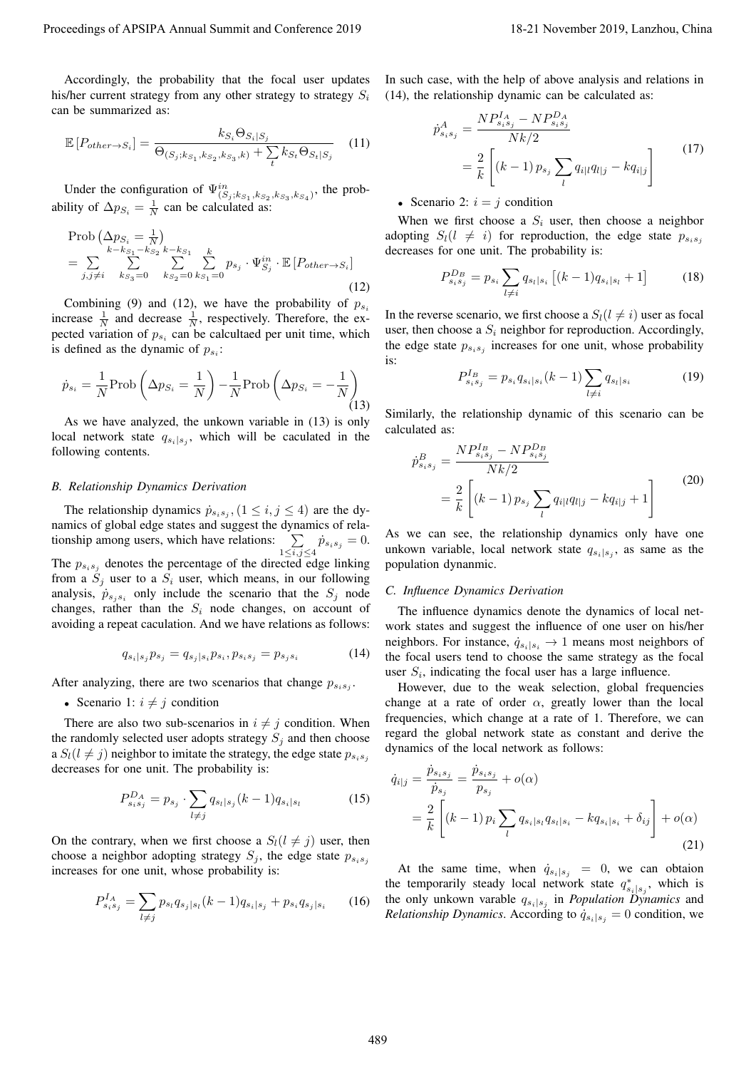Accordingly, the probability that the focal user updates his/her current strategy from any other strategy to strategy  $S_i$ can be summarized as:

$$
\mathbb{E}\left[P_{other \to S_i}\right] = \frac{k_{S_i}\Theta_{S_i|S_j}}{\Theta_{(S_j;k_{S_1},k_{S_2},k_{S_3},k)} + \sum_{t} k_{S_t}\Theta_{S_t|S_j}}
$$
(11)

Under the configuration of  $\Psi_{(S_j;k_{S_1},k_{S_2},k_{S_3},k_{S_4})}^{in}$ , the probability of  $\Delta p_{S_i} = \frac{1}{N}$  can be calculated as:

Prob 
$$
(\Delta p_{S_i} = \frac{1}{N})
$$
  
\n
$$
= \sum_{j,j\neq i} \sum_{k=s_3=0}^{k-k_{S_1}-k_{S_2}} \sum_{k=s_2=0}^{k} \sum_{k_{S_1}=0}^{k} p_{s_j} \cdot \Psi_{S_j}^{in} \cdot \mathbb{E}[P_{other \to S_i}]
$$
\n(12)

Combining (9) and (12), we have the probability of  $p_{s_i}$ increase  $\frac{1}{N}$  and decrease  $\frac{1}{N}$ , respectively. Therefore, the expected variation of  $p_{s_i}$  can be calcultaed per unit time, which is defined as the dynamic of  $p_{s_i}$ :

$$
\dot{p}_{s_i} = \frac{1}{N} \text{Prob}\left(\Delta p_{S_i} = \frac{1}{N}\right) - \frac{1}{N} \text{Prob}\left(\Delta p_{S_i} = -\frac{1}{N}\right) \tag{13}
$$

As we have analyzed, the unkown variable in (13) is only local network state  $q_{s_i|s_i}$ , which will be caculated in the following contents.

#### *B. Relationship Dynamics Derivation*

The relationship dynamics  $\dot{p}_{s_i s_j}$ ,  $(1 \leq i, j \leq 4)$  are the dynamics of global edge states and suggest the dynamics of relationship among users, which have relations:  $\sum$  $\sum_{1 \le i,j \le 4} \dot{p}_{s_i s_j} = 0.$ The  $p_{s_i s_j}$  denotes the percentage of the directed edge linking from a  $S_i$  user to a  $S_i$  user, which means, in our following analysis,  $\dot{p}_{s_i s_i}$  only include the scenario that the  $S_i$  node changes, rather than the  $S_i$  node changes, on account of avoiding a repeat caculation. And we have relations as follows: Proceeding of APSIPA Annual Summit at Co-Co-co-2019 18-21<br>
Make comes measure from the first transport of the first transport of the set of the set of the set of the set of the set of the set of the set of the set of the

$$
q_{s_i|s_j}p_{s_j} = q_{s_j|s_i}p_{s_i}, p_{s_i|s_j} = p_{s_j|s_i} \tag{14}
$$

After analyzing, there are two scenarios that change  $p_{s_i s_i}$ .

• Scenario 1:  $i \neq j$  condition

There are also two sub-scenarios in  $i \neq j$  condition. When the randomly selected user adopts strategy  $S_j$  and then choose a  $S_l(l \neq j)$  neighbor to imitate the strategy, the edge state  $p_{s_i s_j}$ decreases for one unit. The probability is:

$$
P_{s_i s_j}^{D_A} = p_{s_j} \cdot \sum_{l \neq j} q_{s_l | s_j} (k-1) q_{s_i | s_l} \tag{15}
$$

On the contrary, when we first choose a  $S_l(l \neq j)$  user, then choose a neighbor adopting strategy  $S_i$ , the edge state  $p_{s_i s_j}$ increases for one unit, whose probability is:

$$
P_{s_i s_j}^{I_A} = \sum_{l \neq j} p_{s_l} q_{s_j|s_l} (k-1) q_{s_i|s_j} + p_{s_i} q_{s_j|s_i} \qquad (16)
$$

In such case, with the help of above analysis and relations in (14), the relationship dynamic can be calculated as:

$$
\dot{p}_{s_i s_j}^A = \frac{N P_{s_i s_j}^{I_A} - N P_{s_i s_j}^{D_A}}{N k / 2}
$$
\n
$$
= \frac{2}{k} \left[ (k - 1) p_{s_j} \sum_l q_{i|l} q_{l|j} - k q_{i|j} \right]
$$
\n(17)

• Scenario 2:  $i = j$  condition

When we first choose a  $S_i$  user, then choose a neighbor adopting  $S_l(l \neq i)$  for reproduction, the edge state  $p_{s_i s_j}$ decreases for one unit. The probability is:

$$
P_{s_i s_j}^{D_B} = p_{s_i} \sum_{l \neq i} q_{s_l | s_i} \left[ (k-1) q_{s_i | s_l} + 1 \right] \tag{18}
$$

In the reverse scenario, we first choose a  $S_l(l \neq i)$  user as focal user, then choose a  $S_i$  neighbor for reproduction. Accordingly, the edge state  $p_{s_i s_j}$  increases for one unit, whose probability is:

$$
P_{s_i s_j}^{I_B} = p_{s_i} q_{s_i|s_i} (k-1) \sum_{l \neq i} q_{s_l|s_i}
$$
 (19)

Similarly, the relationship dynamic of this scenario can be calculated as:

$$
\dot{p}_{s_i s_j}^B = \frac{N P_{s_i s_j}^{I_B} - N P_{s_i s_j}^{D_B}}{N k / 2}
$$
\n
$$
= \frac{2}{k} \left[ (k - 1) p_{s_j} \sum_l q_{i|l} q_{l|j} - k q_{i|j} + 1 \right]
$$
\n(20)

As we can see, the relationship dynamics only have one unkown variable, local network state  $q_{s_i|s_i}$ , as same as the population dynanmic.

## *C. Influence Dynamics Derivation*

The influence dynamics denote the dynamics of local network states and suggest the influence of one user on his/her neighbors. For instance,  $\dot{q}_{s_i|s_i} \rightarrow 1$  means most neighbors of the focal users tend to choose the same strategy as the focal user  $S_i$ , indicating the focal user has a large influence.

However, due to the weak selection, global frequencies change at a rate of order  $\alpha$ , greatly lower than the local frequencies, which change at a rate of 1. Therefore, we can regard the global network state as constant and derive the dynamics of the local network as follows:

$$
\dot{q}_{i|j} = \frac{\dot{p}_{s_i s_j}}{\dot{p}_{s_j}} = \frac{\dot{p}_{s_i s_j}}{p_{s_j}} + o(\alpha)
$$
\n
$$
= \frac{2}{k} \left[ (k-1) p_i \sum_l q_{s_i|s_l} q_{s_l|s_i} - k q_{s_i|s_i} + \delta_{ij} \right] + o(\alpha)
$$
\n(21)

At the same time, when  $\dot{q}_{s_i|s_j} = 0$ , we can obtaion the temporarily steady local network state  $q_{s_i|s_j}^*$ , which is<br>the only unkown variable  $q_{s_i}$  in *Population Dynamics* and the only unkown varable  $q_{s_i|s_j}$  in *Population Dynamics* and *Relationship Dynamics*. According to  $\dot{q}_{s_i|s_i} = 0$  condition, we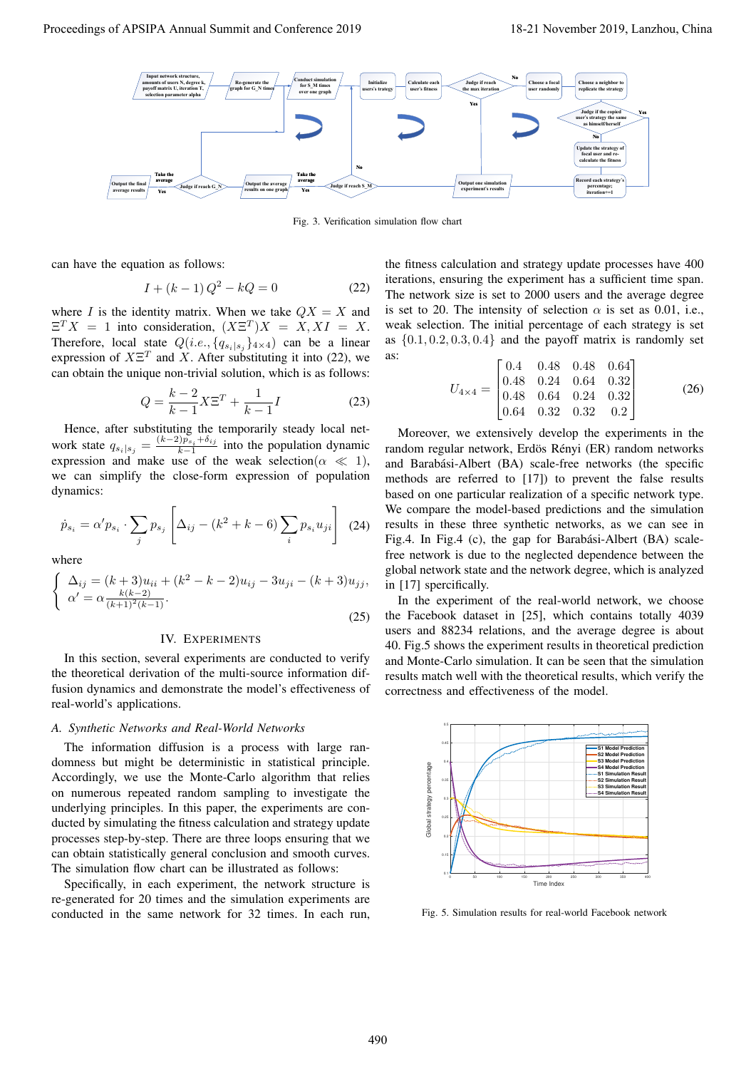

Fig. 3. Verification simulation flow chart

can have the equation as follows:

$$
I + (k - 1)Q^2 - kQ = 0
$$
 (22)

where I is the identity matrix. When we take  $QX = X$  and  $\Xi^T X = 1$  into consideration,  $(X \Xi^T) X = X, X I = X$ . Therefore, local state  $Q(i.e., \{q_{s_i|s_j}\}_{4\times4})$  can be a linear expression of  $X\Xi^T$  and X. After substituting it into (22), we can obtain the unique non-trivial solution, which is as follows:

$$
Q = \frac{k-2}{k-1} X \Xi^T + \frac{1}{k-1} I
$$
 (23)

 $k - 1$   $k - 1$ <br>Hence, after substituting the temporarily steady local network state  $q_{s_i|s_j} = \frac{(k-2)p_{s_i} + \delta_{ij}}{k-1}$  into the population dynamic<br>expression and make use of the weak selection  $(\alpha \ll 1)$ expression and make use of the weak selection( $\alpha \ll 1$ ), we can simplify the close-form expression of population dynamics:

$$
\dot{p}_{s_i} = \alpha' p_{s_i} \cdot \sum_j p_{s_j} \left[ \Delta_{ij} - (k^2 + k - 6) \sum_i p_{s_i} u_{ji} \right]
$$
 (24)

where

$$
\begin{cases} \Delta_{ij} = (k+3)u_{ii} + (k^2 - k - 2)u_{ij} - 3u_{ji} - (k+3)u_{jj}, \\ \alpha' = \alpha \frac{k(k-2)}{(k+1)^2(k-1)}. \end{cases}
$$
 (25)

#### IV. EXPERIMENTS

In this section, several experiments are conducted to verify the theoretical derivation of the multi-source information diffusion dynamics and demonstrate the model's effectiveness of real-world's applications.

# *A. Synthetic Networks and Real-World Networks*

The information diffusion is a process with large randomness but might be deterministic in statistical principle. Accordingly, we use the Monte-Carlo algorithm that relies on numerous repeated random sampling to investigate the underlying principles. In this paper, the experiments are conducted by simulating the fitness calculation and strategy update processes step-by-step. There are three loops ensuring that we can obtain statistically general conclusion and smooth curves. The simulation flow chart can be illustrated as follows:

Specifically, in each experiment, the network structure is re-generated for 20 times and the simulation experiments are conducted in the same network for 32 times. In each run,

the fitness calculation and strategy update processes have 400 iterations, ensuring the experiment has a sufficient time span. The network size is set to 2000 users and the average degree is set to 20. The intensity of selection  $\alpha$  is set as 0.01, i.e., weak selection. The initial percentage of each strategy is set as  $\{0.1, 0.2, 0.3, 0.4\}$  and the payoff matrix is randomly set as:

$$
U_{4\times4} = \begin{bmatrix} 0.4 & 0.48 & 0.48 & 0.64 \\ 0.48 & 0.24 & 0.64 & 0.32 \\ 0.48 & 0.64 & 0.24 & 0.32 \\ 0.64 & 0.32 & 0.32 & 0.2 \end{bmatrix}
$$
 (26)

Moreover, we extensively develop the experiments in the random regular network, Erdös Rényi (ER) random networks and Barabási-Albert (BA) scale-free networks (the specific methods are referred to [17]) to prevent the false results based on one particular realization of a specific network type. We compare the model-based predictions and the simulation results in these three synthetic networks, as we can see in Fig.4. In Fig.4 (c), the gap for Barabási-Albert (BA) scalefree network is due to the neglected dependence between the global network state and the network degree, which is analyzed in [17] spercifically.

In the experiment of the real-world network, we choose the Facebook dataset in [25], which contains totally 4039 users and 88234 relations, and the average degree is about 40. Fig.5 shows the experiment results in theoretical prediction and Monte-Carlo simulation. It can be seen that the simulation results match well with the theoretical results, which verify the correctness and effectiveness of the model.



Fig. 5. Simulation results for real-world Facebook network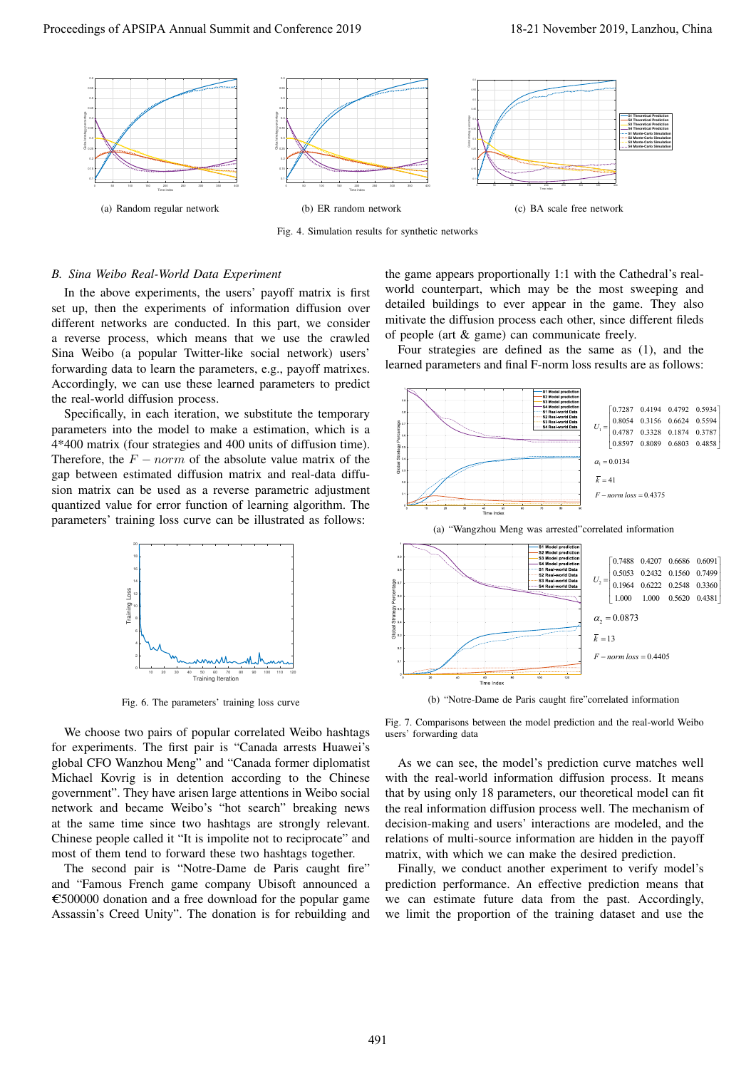

Fig. 4. Simulation results for synthetic networks

## *B. Sina Weibo Real-World Data Experiment*

In the above experiments, the users' payoff matrix is first set up, then the experiments of information diffusion over different networks are conducted. In this part, we consider a reverse process, which means that we use the crawled Sina Weibo (a popular Twitter-like social network) users' forwarding data to learn the parameters, e.g., payoff matrixes. Accordingly, we can use these learned parameters to predict the real-world diffusion process.

Specifically, in each iteration, we substitute the temporary parameters into the model to make a estimation, which is a 4\*400 matrix (four strategies and 400 units of diffusion time). Therefore, the  $F - norm$  of the absolute value matrix of the gap between estimated diffusion matrix and real-data diffusion matrix can be used as a reverse parametric adjustment quantized value for error function of learning algorithm. The parameters' training loss curve can be illustrated as follows:



Fig. 6. The parameters' training loss curve

We choose two pairs of popular correlated Weibo hashtags for experiments. The first pair is "Canada arrests Huawei's global CFO Wanzhou Meng" and "Canada former diplomatist Michael Kovrig is in detention according to the Chinese government". They have arisen large attentions in Weibo social network and became Weibo's "hot search" breaking news at the same time since two hashtags are strongly relevant. Chinese people called it "It is impolite not to reciprocate" and most of them tend to forward these two hashtags together.

The second pair is "Notre-Dame de Paris caught fire" and "Famous French game company Ubisoft announced a  $\epsilon$ 500000 donation and a free download for the popular game Assassin's Creed Unity". The donation is for rebuilding and

the game appears proportionally 1:1 with the Cathedral's realworld counterpart, which may be the most sweeping and detailed buildings to ever appear in the game. They also mitivate the diffusion process each other, since different fileds of people (art & game) can communicate freely.

Four strategies are defined as the same as (1), and the learned parameters and final F-norm loss results are as follows:







(b) "Notre-Dame de Paris caught fire"correlated information

Fig. 7. Comparisons between the model prediction and the real-world Weibo users' forwarding data

As we can see, the model's prediction curve matches well with the real-world information diffusion process. It means that by using only 18 parameters, our theoretical model can fit the real information diffusion process well. The mechanism of decision-making and users' interactions are modeled, and the relations of multi-source information are hidden in the payoff matrix, with which we can make the desired prediction.

Finally, we conduct another experiment to verify model's prediction performance. An effective prediction means that we can estimate future data from the past. Accordingly, we limit the proportion of the training dataset and use the